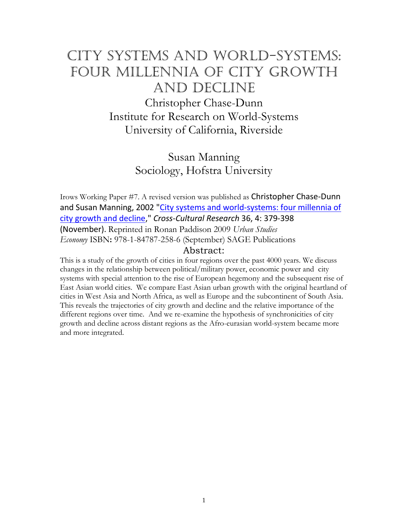# City systems and world-systems: Four millennia of city growth and decline

Christopher Chase-Dunn Institute for Research on World-Systems University of California, Riverside

> Susan Manning Sociology, Hofstra University

Irows Working Paper #7. A revised version was published as Christopher Chase-Dunn and Susan Manning, 2002 "City systems and world-systems: four millennia of [city growth and decline,](http://www.irows.ucr.edu/cd/papers/isq01/isq01.htm)" *Cross-Cultural Research* 36, 4: 379-398 (November). Reprinted in Ronan Paddison 2009 *Urban Studies Economy* ISBN**:** 978-1-84787-258-6 (September) SAGE Publications

# Abstract:

This is a study of the growth of cities in four regions over the past 4000 years. We discuss changes in the relationship between political/military power, economic power and city systems with special attention to the rise of European hegemony and the subsequent rise of East Asian world cities. We compare East Asian urban growth with the original heartland of cities in West Asia and North Africa, as well as Europe and the subcontinent of South Asia. This reveals the trajectories of city growth and decline and the relative importance of the different regions over time. And we re-examine the hypothesis of synchronicities of city growth and decline across distant regions as the Afro-eurasian world-system became more and more integrated.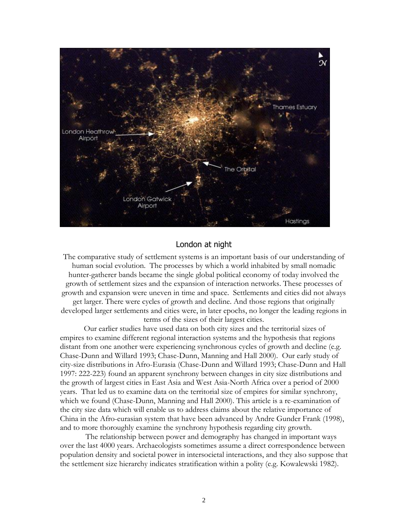

## London at night

The comparative study of settlement systems is an important basis of our understanding of human social evolution. The processes by which a world inhabited by small nomadic hunter-gatherer bands became the single global political economy of today involved the growth of settlement sizes and the expansion of interaction networks. These processes of growth and expansion were uneven in time and space. Settlements and cities did not always get larger. There were cycles of growth and decline. And those regions that originally developed larger settlements and cities were, in later epochs, no longer the leading regions in terms of the sizes of their largest cities.

Our earlier studies have used data on both city sizes and the territorial sizes of empires to examine different regional interaction systems and the hypothesis that regions distant from one another were experiencing synchronous cycles of growth and decline (e.g. Chase-Dunn and Willard 1993; Chase-Dunn, Manning and Hall 2000). Our early study of city-size distributions in Afro-Eurasia (Chase-Dunn and Willard 1993; Chase-Dunn and Hall 1997: 222-223) found an apparent synchrony between changes in city size distributions and the growth of largest cities in East Asia and West Asia-North Africa over a period of 2000 years. That led us to examine data on the territorial size of empires for similar synchrony, which we found (Chase-Dunn, Manning and Hall 2000). This article is a re-examination of the city size data which will enable us to address claims about the relative importance of China in the Afro-eurasian system that have been advanced by Andre Gunder Frank (1998), and to more thoroughly examine the synchrony hypothesis regarding city growth.

The relationship between power and demography has changed in important ways over the last 4000 years. Archaeologists sometimes assume a direct correspondence between population density and societal power in intersocietal interactions, and they also suppose that the settlement size hierarchy indicates stratification within a polity (e.g. Kowalewski 1982).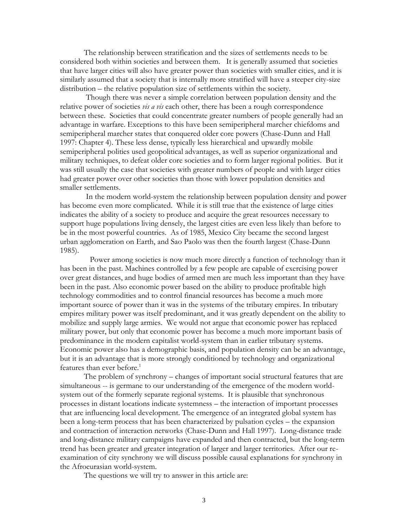The relationship between stratification and the sizes of settlements needs to be considered both within societies and between them. It is generally assumed that societies that have larger cities will also have greater power than societies with smaller cities, and it is similarly assumed that a society that is internally more stratified will have a steeper city-size distribution – the relative population size of settlements within the society.

Though there was never a simple correlation between population density and the relative power of societies *vis a vis* each other, there has been a rough correspondence between these. Societies that could concentrate greater numbers of people generally had an advantage in warfare. Exceptions to this have been semiperipheral marcher chiefdoms and semiperipheral marcher states that conquered older core powers (Chase-Dunn and Hall 1997: Chapter 4). These less dense, typically less hierarchical and upwardly mobile semiperipheral polities used geopolitical advantages, as well as superior organizational and military techniques, to defeat older core societies and to form larger regional polities. But it was still usually the case that societies with greater numbers of people and with larger cities had greater power over other societies than those with lower population densities and smaller settlements.

In the modern world-system the relationship between population density and power has become even more complicated. While it is still true that the existence of large cities indicates the ability of a society to produce and acquire the great resources necessary to support huge populations living densely, the largest cities are even less likely than before to be in the most powerful countries. As of 1985, Mexico City became the second largest urban agglomeration on Earth, and Sao Paolo was then the fourth largest (Chase-Dunn 1985).

 Power among societies is now much more directly a function of technology than it has been in the past. Machines controlled by a few people are capable of exercising power over great distances, and huge bodies of armed men are much less important than they have been in the past. Also economic power based on the ability to produce profitable high technology commodities and to control financial resources has become a much more important source of power than it was in the systems of the tributary empires. In tributary empires military power was itself predominant, and it was greatly dependent on the ability to mobilize and supply large armies. We would not argue that economic power has replaced military power, but only that economic power has become a much more important basis of predominance in the modern capitalist world-system than in earlier tributary systems. Economic power also has a demographic basis, and population density can be an advantage, but it is an advantage that is more strongly conditioned by technology and organizational features than ever before.<sup>1</sup>

The problem of synchrony – changes of important social structural features that are simultaneous -- is germane to our understanding of the emergence of the modern worldsystem out of the formerly separate regional systems. It is plausible that synchronous processes in distant locations indicate systemness – the interaction of important processes that are influencing local development. The emergence of an integrated global system has been a long-term process that has been characterized by pulsation cycles – the expansion and contraction of interaction networks (Chase-Dunn and Hall 1997). Long-distance trade and long-distance military campaigns have expanded and then contracted, but the long-term trend has been greater and greater integration of larger and larger territories. After our reexamination of city synchrony we will discuss possible causal explanations for synchrony in the Afroeurasian world-system.

The questions we will try to answer in this article are: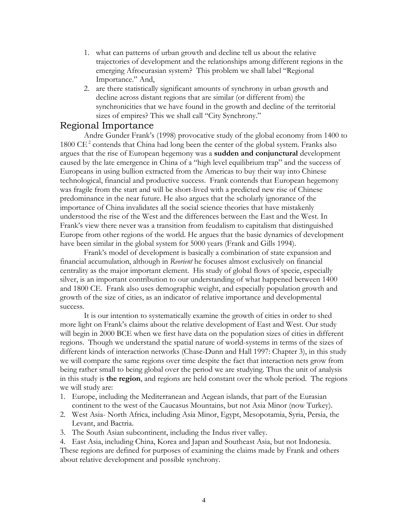- 1. what can patterns of urban growth and decline tell us about the relative trajectories of development and the relationships among different regions in the emerging Afroeurasian system? This problem we shall label "Regional Importance." And,
- 2. are there statistically significant amounts of synchrony in urban growth and decline across distant regions that are similar (or different from) the synchronicities that we have found in the growth and decline of the territorial sizes of empires? This we shall call "City Synchrony."

# Regional Importance

Andre Gunder Frank's (1998) provocative study of the global economy from 1400 to  $1800 \text{ CE}^2$  contends that China had long been the center of the global system. Franks also argues that the rise of European hegemony was a **sudden and conjunctural** development caused by the late emergence in China of a "high level equilibrium trap" and the success of Europeans in using bullion extracted from the Americas to buy their way into Chinese technological, financial and productive success. Frank contends that European hegemony was fragile from the start and will be short-lived with a predicted new rise of Chinese predominance in the near future. He also argues that the scholarly ignorance of the importance of China invalidates all the social science theories that have mistakenly understood the rise of the West and the differences between the East and the West. In Frank's view there never was a transition from feudalism to capitalism that distinguished Europe from other regions of the world. He argues that the basic dynamics of development have been similar in the global system for 5000 years (Frank and Gills 1994).

Frank's model of development is basically a combination of state expansion and financial accumulation, although in *Reorient* he focuses almost exclusively on financial centrality as the major important element. His study of global flows of specie, especially silver, is an important contribution to our understanding of what happened between 1400 and 1800 CE. Frank also uses demographic weight, and especially population growth and growth of the size of cities, as an indicator of relative importance and developmental success.

It is our intention to systematically examine the growth of cities in order to shed more light on Frank's claims about the relative development of East and West. Our study will begin in 2000 BCE when we first have data on the population sizes of cities in different regions. Though we understand the spatial nature of world-systems in terms of the sizes of different kinds of interaction networks (Chase-Dunn and Hall 1997: Chapter 3), in this study we will compare the same regions over time despite the fact that interaction nets grow from being rather small to being global over the period we are studying. Thus the unit of analysis in this study is **the region**, and regions are held constant over the whole period. The regions we will study are:

- 1. Europe, including the Mediterranean and Aegean islands, that part of the Eurasian continent to the west of the Caucasus Mountains, but not Asia Minor (now Turkey).
- 2. West Asia- North Africa, including Asia Minor, Egypt, Mesopotamia, Syria, Persia, the Levant, and Bactria.
- 3. The South Asian subcontinent, including the Indus river valley.

4. East Asia, including China, Korea and Japan and Southeast Asia, but not Indonesia. These regions are defined for purposes of examining the claims made by Frank and others about relative development and possible synchrony.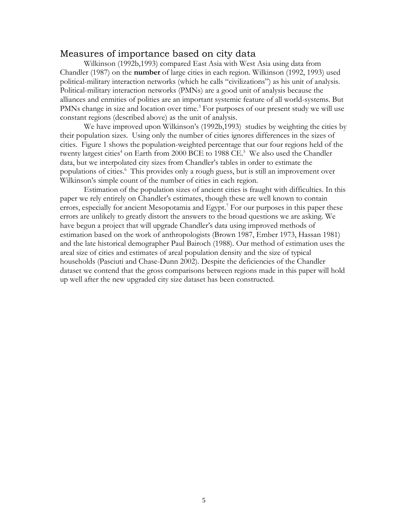# Measures of importance based on city data

Wilkinson (1992b,1993) compared East Asia with West Asia using data from Chandler (1987) on the **number** of large cities in each region. Wilkinson (1992, 1993) used political-military interaction networks (which he calls "civilizations") as his unit of analysis. Political-military interaction networks (PMNs) are a good unit of analysis because the alliances and enmities of polities are an important systemic feature of all world-systems. But PMNs change in size and location over time.<sup>3</sup> For purposes of our present study we will use constant regions (described above) as the unit of analysis.

We have improved upon Wilkinson's (1992b,1993) studies by weighting the cities by their population sizes. Using only the number of cities ignores differences in the sizes of cities. Figure 1 shows the population-weighted percentage that our four regions held of the twenty largest cities<sup>4</sup> on Earth from 2000 BCE to 1988 CE.<sup>5</sup> We also used the Chandler data, but we interpolated city sizes from Chandler's tables in order to estimate the populations of cities.<sup>6</sup> This provides only a rough guess, but is still an improvement over Wilkinson's simple count of the number of cities in each region.

Estimation of the population sizes of ancient cities is fraught with difficulties. In this paper we rely entirely on Chandler's estimates, though these are well known to contain errors, especially for ancient Mesopotamia and Egypt.<sup>7</sup> For our purposes in this paper these errors are unlikely to greatly distort the answers to the broad questions we are asking. We have begun a project that will upgrade Chandler's data using improved methods of estimation based on the work of anthropologists (Brown 1987, Ember 1973, Hassan 1981) and the late historical demographer Paul Bairoch (1988). Our method of estimation uses the areal size of cities and estimates of areal population density and the size of typical households (Pasciuti and Chase-Dunn 2002). Despite the deficiencies of the Chandler dataset we contend that the gross comparisons between regions made in this paper will hold up well after the new upgraded city size dataset has been constructed.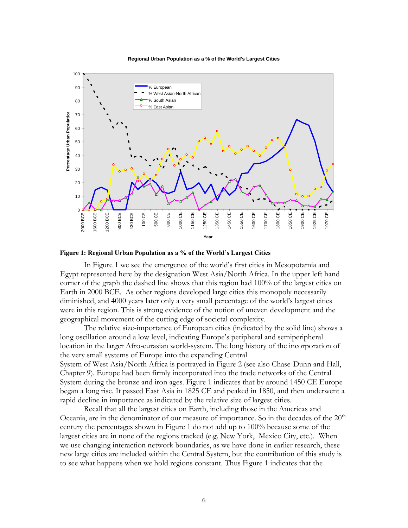**Regional Urban Population as a % of the World's Largest Cities**



**Figure 1: Regional Urban Population as a % of the World's Largest Cities**

In Figure 1 we see the emergence of the world's first cities in Mesopotamia and Egypt represented here by the designation West Asia/North Africa. In the upper left hand corner of the graph the dashed line shows that this region had 100% of the largest cities on Earth in 2000 BCE. As other regions developed large cities this monopoly necessarily diminished, and 4000 years later only a very small percentage of the world's largest cities were in this region. This is strong evidence of the notion of uneven development and the geographical movement of the cutting edge of societal complexity.

The relative size-importance of European cities (indicated by the solid line) shows a long oscillation around a low level, indicating Europe's peripheral and semiperipheral location in the larger Afro-eurasian world-system. The long history of the incorporation of the very small systems of Europe into the expanding Central System of West Asia/North Africa is portrayed in Figure 2 (see also Chase-Dunn and Hall, Chapter 9). Europe had been firmly incorporated into the trade networks of the Central System during the bronze and iron ages. Figure 1 indicates that by around 1450 CE Europe began a long rise. It passed East Asia in 1825 CE and peaked in 1850, and then underwent a rapid decline in importance as indicated by the relative size of largest cities.

Recall that all the largest cities on Earth, including those in the Americas and Oceania, are in the denominator of our measure of importance. So in the decades of the  $20<sup>th</sup>$ century the percentages shown in Figure 1 do not add up to 100% because some of the largest cities are in none of the regions tracked (e.g. New York, Mexico City, etc.). When we use changing interaction network boundaries, as we have done in earlier research, these new large cities are included within the Central System, but the contribution of this study is to see what happens when we hold regions constant. Thus Figure 1 indicates that the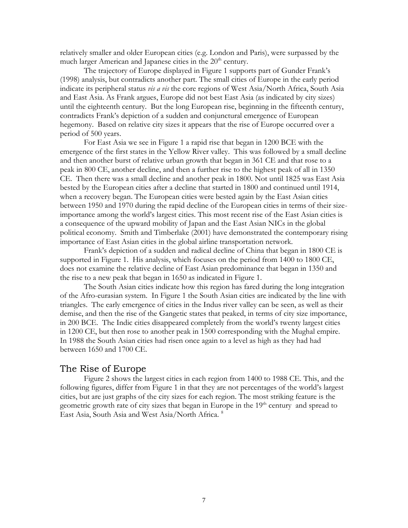relatively smaller and older European cities (e.g. London and Paris), were surpassed by the much larger American and Japanese cities in the  $20<sup>th</sup>$  century.

The trajectory of Europe displayed in Figure 1 supports part of Gunder Frank's (1998) analysis, but contradicts another part. The small cities of Europe in the early period indicate its peripheral status *vis a vis* the core regions of West Asia/North Africa, South Asia and East Asia. As Frank argues, Europe did not best East Asia (as indicated by city sizes) until the eighteenth century. But the long European rise, beginning in the fifteenth century, contradicts Frank's depiction of a sudden and conjunctural emergence of European hegemony. Based on relative city sizes it appears that the rise of Europe occurred over a period of 500 years.

For East Asia we see in Figure 1 a rapid rise that began in 1200 BCE with the emergence of the first states in the Yellow River valley. This was followed by a small decline and then another burst of relative urban growth that began in 361 CE and that rose to a peak in 800 CE, another decline, and then a further rise to the highest peak of all in 1350 CE. Then there was a small decline and another peak in 1800. Not until 1825 was East Asia bested by the European cities after a decline that started in 1800 and continued until 1914, when a recovery began. The European cities were bested again by the East Asian cities between 1950 and 1970 during the rapid decline of the European cities in terms of their sizeimportance among the world's largest cities. This most recent rise of the East Asian cities is a consequence of the upward mobility of Japan and the East Asian NICs in the global political economy. Smith and Timberlake (2001) have demonstrated the contemporary rising importance of East Asian cities in the global airline transportation network.

Frank's depiction of a sudden and radical decline of China that began in 1800 CE is supported in Figure 1. His analysis, which focuses on the period from 1400 to 1800 CE, does not examine the relative decline of East Asian predominance that began in 1350 and the rise to a new peak that began in 1650 as indicated in Figure 1.

The South Asian cities indicate how this region has fared during the long integration of the Afro-eurasian system. In Figure 1 the South Asian cities are indicated by the line with triangles. The early emergence of cities in the Indus river valley can be seen, as well as their demise, and then the rise of the Gangetic states that peaked, in terms of city size importance, in 200 BCE. The Indic cities disappeared completely from the world's twenty largest cities in 1200 CE, but then rose to another peak in 1500 corresponding with the Mughal empire. In 1988 the South Asian cities had risen once again to a level as high as they had had between 1650 and 1700 CE.

### The Rise of Europe

Figure 2 shows the largest cities in each region from 1400 to 1988 CE. This, and the following figures, differ from Figure 1 in that they are not percentages of the world's largest cities, but are just graphs of the city sizes for each region. The most striking feature is the geometric growth rate of city sizes that began in Europe in the  $19<sup>th</sup>$  century and spread to East Asia, South Asia and West Asia/North Africa. 8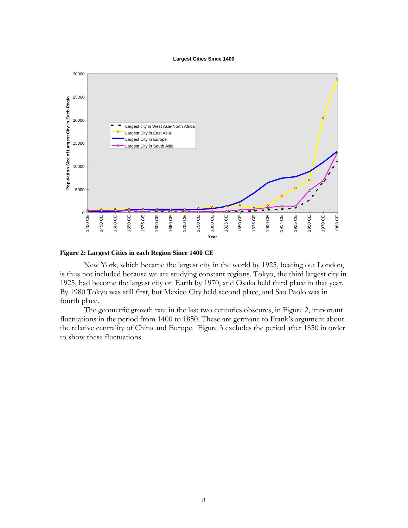#### **Largest Cities Since 1400**



### **Figure 2: Largest Cities in each Region Since 1400 CE**

New York, which became the largest city in the world by 1925, beating out London, is thus not included because we are studying constant regions. Tokyo, the third largest city in 1925, had become the largest city on Earth by 1970, and Osaka held third place in that year. By 1980 Tokyo was still first, but Mexico City held second place, and Sao Paolo was in fourth place.

The geometric growth rate in the last two centuries obscures, in Figure 2, important fluctuations in the period from 1400 to 1850. These are germane to Frank's argument about the relative centrality of China and Europe. Figure 3 excludes the period after 1850 in order to show these fluctuations.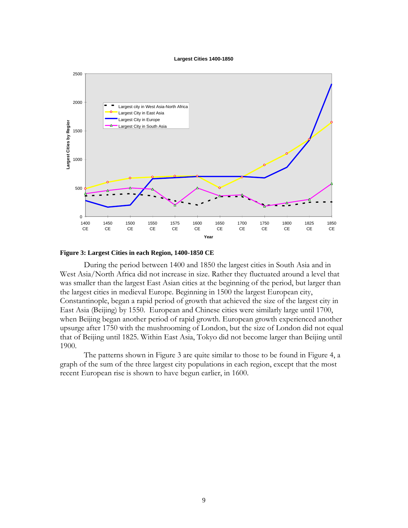#### **Largest Cities 1400-1850**



### **Figure 3: Largest Cities in each Region, 1400-1850 CE**

During the period between 1400 and 1850 the largest cities in South Asia and in West Asia/North Africa did not increase in size. Rather they fluctuated around a level that was smaller than the largest East Asian cities at the beginning of the period, but larger than the largest cities in medieval Europe. Beginning in 1500 the largest European city, Constantinople, began a rapid period of growth that achieved the size of the largest city in East Asia (Beijing) by 1550. European and Chinese cities were similarly large until 1700, when Beijing began another period of rapid growth. European growth experienced another upsurge after 1750 with the mushrooming of London, but the size of London did not equal that of Beijing until 1825. Within East Asia, Tokyo did not become larger than Beijing until 1900.

The patterns shown in Figure 3 are quite similar to those to be found in Figure 4, a graph of the sum of the three largest city populations in each region, except that the most recent European rise is shown to have begun earlier, in 1600.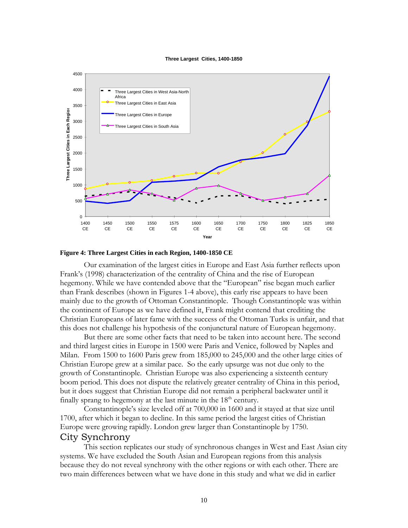#### **Three Largest Cities, 1400-1850**



### **Figure 4: Three Largest Cities in each Region, 1400-1850 CE**

Our examination of the largest cities in Europe and East Asia further reflects upon Frank's (1998) characterization of the centrality of China and the rise of European hegemony. While we have contended above that the "European" rise began much earlier than Frank describes (shown in Figures 1-4 above), this early rise appears to have been mainly due to the growth of Ottoman Constantinople. Though Constantinople was within the continent of Europe as we have defined it, Frank might contend that crediting the Christian Europeans of later fame with the success of the Ottoman Turks is unfair, and that this does not challenge his hypothesis of the conjunctural nature of European hegemony.

But there are some other facts that need to be taken into account here. The second and third largest cities in Europe in 1500 were Paris and Venice, followed by Naples and Milan. From 1500 to 1600 Paris grew from 185,000 to 245,000 and the other large cities of Christian Europe grew at a similar pace. So the early upsurge was not due only to the growth of Constantinople. Christian Europe was also experiencing a sixteenth century boom period. This does not dispute the relatively greater centrality of China in this period, but it does suggest that Christian Europe did not remain a peripheral backwater until it finally sprang to hegemony at the last minute in the  $18<sup>th</sup>$  century.

Constantinople's size leveled off at 700,000 in 1600 and it stayed at that size until 1700, after which it began to decline. In this same period the largest cities of Christian Europe were growing rapidly. London grew larger than Constantinople by 1750.

# City Synchrony

This section replicates our study of synchronous changes in West and East Asian city systems. We have excluded the South Asian and European regions from this analysis because they do not reveal synchrony with the other regions or with each other. There are two main differences between what we have done in this study and what we did in earlier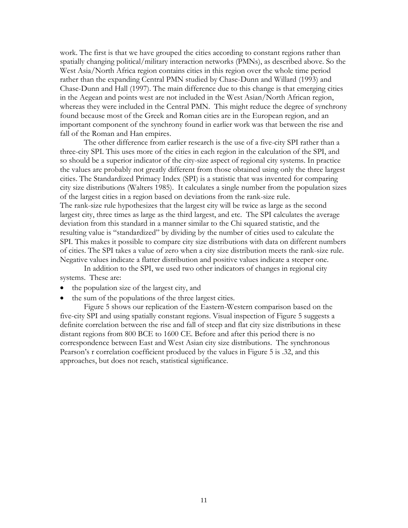work. The first is that we have grouped the cities according to constant regions rather than spatially changing political/military interaction networks (PMNs), as described above. So the West Asia/North Africa region contains cities in this region over the whole time period rather than the expanding Central PMN studied by Chase-Dunn and Willard (1993) and Chase-Dunn and Hall (1997). The main difference due to this change is that emerging cities in the Aegean and points west are not included in the West Asian/North African region, whereas they were included in the Central PMN. This might reduce the degree of synchrony found because most of the Greek and Roman cities are in the European region, and an important component of the synchrony found in earlier work was that between the rise and fall of the Roman and Han empires.

The other difference from earlier research is the use of a five-city SPI rather than a three-city SPI. This uses more of the cities in each region in the calculation of the SPI, and so should be a superior indicator of the city-size aspect of regional city systems. In practice the values are probably not greatly different from those obtained using only the three largest cities. The Standardized Primacy Index (SPI) is a statistic that was invented for comparing city size distributions (Walters 1985). It calculates a single number from the population sizes of the largest cities in a region based on deviations from the rank-size rule. The rank-size rule hypothesizes that the largest city will be twice as large as the second largest city, three times as large as the third largest, and etc. The SPI calculates the average deviation from this standard in a manner similar to the Chi squared statistic, and the resulting value is "standardized" by dividing by the number of cities used to calculate the SPI. This makes it possible to compare city size distributions with data on different numbers of cities. The SPI takes a value of zero when a city size distribution meets the rank-size rule. Negative values indicate a flatter distribution and positive values indicate a steeper one.

In addition to the SPI, we used two other indicators of changes in regional city systems. These are:

- the population size of the largest city, and
- the sum of the populations of the three largest cities.

Figure 5 shows our replication of the Eastern-Western comparison based on the five-city SPI and using spatially constant regions. Visual inspection of Figure 5 suggests a definite correlation between the rise and fall of steep and flat city size distributions in these distant regions from 800 BCE to 1600 CE. Before and after this period there is no correspondence between East and West Asian city size distributions. The synchronous Pearson's r correlation coefficient produced by the values in Figure 5 is .32, and this approaches, but does not reach, statistical significance.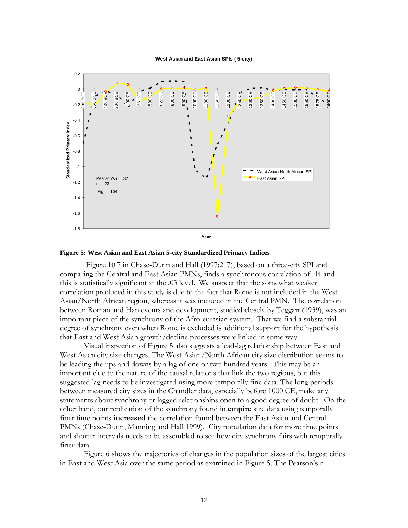**West Asian and East Asian SPIs ( 5-city)**



### **Figure 5: West Asian and East Asian 5-city Standardized Primacy Indices**

Figure 10.7 in Chase-Dunn and Hall (1997:217), based on a three-city SPI and comparing the Central and East Asian PMNs, finds a synchronous correlation of .44 and this is statistically significant at the .03 level. We suspect that the somewhat weaker correlation produced in this study is due to the fact that Rome is not included in the West Asian/North African region, whereas it was included in the Central PMN. The correlation between Roman and Han events and development, studied closely by Teggart (1939), was an important piece of the synchrony of the Afro-eurasian system. That we find a substantial degree of synchrony even when Rome is excluded is additional support for the hypothesis that East and West Asian growth/decline processes were linked in some way.

Visual inspection of Figure 5 also suggests a lead-lag relationship between East and West Asian city size changes. The West Asian/North African city size distribution seems to be leading the ups and downs by a lag of one or two hundred years. This may be an important clue to the nature of the causal relations that link the two regions, but this suggested lag needs to be investigated using more temporally fine data. The long periods between measured city sizes in the Chandler data, especially before 1000 CE, make any statements about synchrony or lagged relationships open to a good degree of doubt. On the other hand, our replication of the synchrony found in **empire** size data using temporally finer time points **increased** the correlation found between the East Asian and Central PMNs (Chase-Dunn, Manning and Hall 1999). City population data for more time points and shorter intervals needs to be assembled to see how city synchrony fairs with temporally finer data.

Figure 6 shows the trajectories of changes in the population sizes of the largest cities in East and West Asia over the same period as examined in Figure 5. The Pearson's r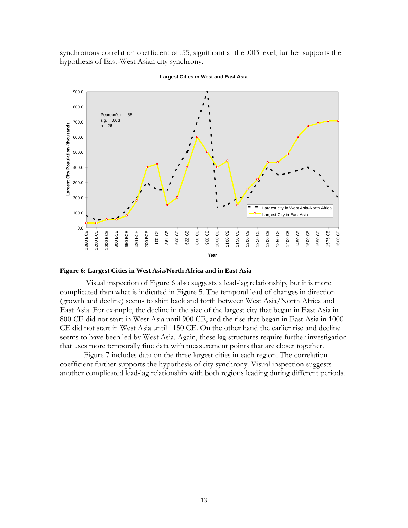synchronous correlation coefficient of .55, significant at the .003 level, further supports the hypothesis of East-West Asian city synchrony.



**Largest Cities in West and East Asia**

### **Figure 6: Largest Cities in West Asia/North Africa and in East Asia**

Visual inspection of Figure 6 also suggests a lead-lag relationship, but it is more complicated than what is indicated in Figure 5. The temporal lead of changes in direction (growth and decline) seems to shift back and forth between West Asia/North Africa and East Asia. For example, the decline in the size of the largest city that began in East Asia in 800 CE did not start in West Asia until 900 CE, and the rise that began in East Asia in 1000 CE did not start in West Asia until 1150 CE. On the other hand the earlier rise and decline seems to have been led by West Asia. Again, these lag structures require further investigation that uses more temporally fine data with measurement points that are closer together.

Figure 7 includes data on the three largest cities in each region. The correlation coefficient further supports the hypothesis of city synchrony. Visual inspection suggests another complicated lead-lag relationship with both regions leading during different periods.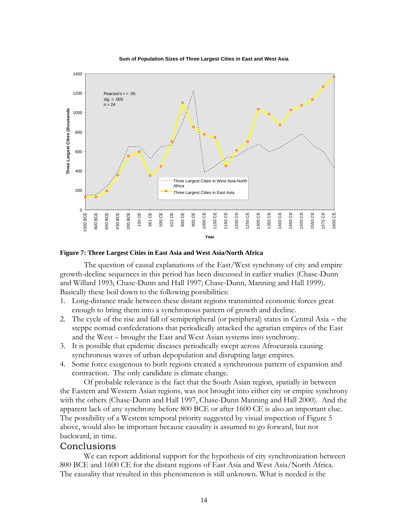



### **Figure 7: Three Largest Cities in East Asia and West Asia/North Africa**

The question of causal explanations of the East/West synchrony of city and empire growth-decline sequences in this period has been discussed in earlier studies (Chase-Dunn and Willard 1993; Chase-Dunn and Hall 1997; Chase-Dunn, Manning and Hall 1999). Basically these boil down to the following possibilities:

- 1. Long-distance trade between these distant regions transmitted economic forces great enough to bring them into a synchronous pattern of growth and decline.
- 2. The cycle of the rise and fall of semiperipheral (or peripheral) states in Central Asia the steppe nomad confederations that periodically attacked the agrarian empires of the East and the West – brought the East and West Asian systems into synchrony.
- 3. It is possible that epidemic diseases periodically swept across Afroeurasia causing synchronous waves of urban depopulation and disrupting large empires.
- 4. Some force exogenous to both regions created a synchronous pattern of expansion and contraction. The only candidate is climate change.

Of probable relevance is the fact that the South Asian region, spatially in between the Eastern and Western Asian regions, was not brought into either city or empire synchrony with the others (Chase-Dunn and Hall 1997, Chase-Dunn Manning and Hall 2000). And the apparent lack of any synchrony before 800 BCE or after 1600 CE is also an important clue. The possibility of a Western temporal priority suggested by visual inspection of Figure 5 above, would also be important because causality is assumed to go forward, but not backward, in time.

### Conclusions

We can report additional support for the hypothesis of city synchronization between 800 BCE and 1600 CE for the distant regions of East Asia and West Asia/North Africa. The causality that resulted in this phenomenon is still unknown. What is needed is the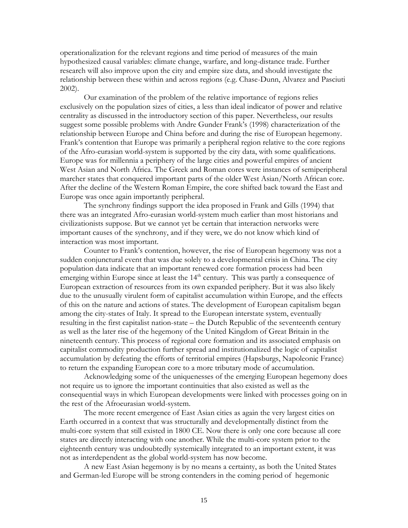operationalization for the relevant regions and time period of measures of the main hypothesized causal variables: climate change, warfare, and long-distance trade. Further research will also improve upon the city and empire size data, and should investigate the relationship between these within and across regions (e.g. Chase-Dunn, Alvarez and Pasciuti 2002).

Our examination of the problem of the relative importance of regions relies exclusively on the population sizes of cities, a less than ideal indicator of power and relative centrality as discussed in the introductory section of this paper. Nevertheless, our results suggest some possible problems with Andre Gunder Frank's (1998) characterization of the relationship between Europe and China before and during the rise of European hegemony. Frank's contention that Europe was primarily a peripheral region relative to the core regions of the Afro-eurasian world-system is supported by the city data, with some qualifications. Europe was for millennia a periphery of the large cities and powerful empires of ancient West Asian and North Africa. The Greek and Roman cores were instances of semiperipheral marcher states that conquered important parts of the older West Asian/North African core. After the decline of the Western Roman Empire, the core shifted back toward the East and Europe was once again importantly peripheral.

The synchrony findings support the idea proposed in Frank and Gills (1994) that there was an integrated Afro-eurasian world-system much earlier than most historians and civilizationists suppose. But we cannot yet be certain that interaction networks were important causes of the synchrony, and if they were, we do not know which kind of interaction was most important.

Counter to Frank's contention, however, the rise of European hegemony was not a sudden conjunctural event that was due solely to a developmental crisis in China. The city population data indicate that an important renewed core formation process had been emerging within Europe since at least the 14<sup>th</sup> century. This was partly a consequence of European extraction of resources from its own expanded periphery. But it was also likely due to the unusually virulent form of capitalist accumulation within Europe, and the effects of this on the nature and actions of states. The development of European capitalism began among the city-states of Italy. It spread to the European interstate system, eventually resulting in the first capitalist nation-state – the Dutch Republic of the seventeenth century as well as the later rise of the hegemony of the United Kingdom of Great Britain in the nineteenth century. This process of regional core formation and its associated emphasis on capitalist commodity production further spread and institutionalized the logic of capitalist accumulation by defeating the efforts of territorial empires (Hapsburgs, Napoleonic France) to return the expanding European core to a more tributary mode of accumulation.

Acknowledging some of the uniquenesses of the emerging European hegemony does not require us to ignore the important continuities that also existed as well as the consequential ways in which European developments were linked with processes going on in the rest of the Afroeurasian world-system.

The more recent emergence of East Asian cities as again the very largest cities on Earth occurred in a context that was structurally and developmentally distinct from the multi-core system that still existed in 1800 CE. Now there is only one core because all core states are directly interacting with one another. While the multi-core system prior to the eighteenth century was undoubtedly systemically integrated to an important extent, it was not as interdependent as the global world-system has now become.

A new East Asian hegemony is by no means a certainty, as both the United States and German-led Europe will be strong contenders in the coming period of hegemonic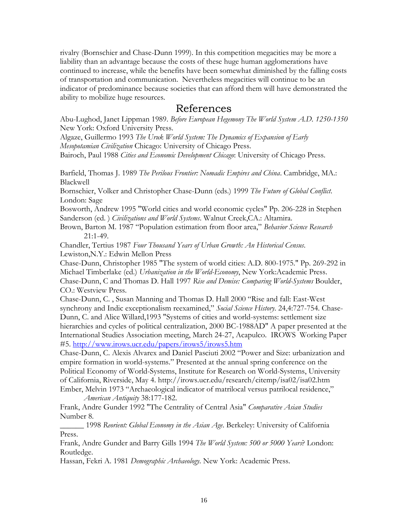rivalry (Bornschier and Chase-Dunn 1999). In this competition megacities may be more a liability than an advantage because the costs of these huge human agglomerations have continued to increase, while the benefits have been somewhat diminished by the falling costs of transportation and communication. Nevertheless megacities will continue to be an indicator of predominance because societies that can afford them will have demonstrated the ability to mobilize huge resources.

# References

Abu-Lughod, Janet Lippman 1989. *Before European Hegemony The World System A.D. 1250-1350* New York: Oxford University Press.

Algaze, Guillermo 1993 *The Uruk World System: The Dynamics of Expansion of Early Mesopotamian Civilization* Chicago: University of Chicago Press.

Bairoch, Paul 1988 *Cities and Economic Development Chicago*: University of Chicago Press.

Barfield, Thomas J. 1989 *The Perilous Frontier: Nomadic Empires and China*. Cambridge, MA.: Blackwell

Bornschier, Volker and Christopher Chase-Dunn (eds.) 1999 *The Future of Global Conflict*. London: Sage

Bosworth, Andrew 1995 "World cities and world economic cycles" Pp. 206-228 in Stephen Sanderson (ed. ) *Civilizations and World Systems*. Walnut Creek,CA.: Altamira.

Brown, Barton M. 1987 "Population estimation from floor area," *Behavior Science Research* 21:1-49.

Chandler, Tertius 1987 *Four Thousand Years of Urban Growth: An Historical Census*. Lewiston,N.Y.: Edwin Mellon Press

Chase-Dunn, Christopher 1985 "The system of world cities: A.D. 800-1975." Pp. 269-292 in Michael Timberlake (ed.) *Urbanization in the World-Economy*, New York:Academic Press. Chase-Dunn, C and Thomas D. Hall 1997 *Rise and Demise: Comparing World-Systems* Boulder, CO.: Westview Press.

Chase-Dunn, C. , Susan Manning and Thomas D. Hall 2000 "Rise and fall: East-West synchrony and Indic exceptionalism reexamined," *Social Science History*. 24,4:727-754. Chase-Dunn, C. and Alice Willard,1993 "Systems of cities and world-systems: settlement size hierarchies and cycles of political centralization, 2000 BC-1988AD" A paper presented at the International Studies Association meeting, March 24-27, Acapulco. IROWS Working Paper #5.<http://www.irows.ucr.edu/papers/irows5/irows5.htm>

Chase-Dunn, C. Alexis Alvarex and Daniel Pasciuti 2002 "Power and Size: urbanization and empire formation in world-systems." Presented at the annual spring conference on the Political Economy of World-Systems, Institute for Research on World-Systems, University of California, Riverside, May 4. http://irows.ucr.edu/research/citemp/isa02/isa02.htm Ember, Melvin 1973 "Archaeological indicator of matrilocal versus patrilocal residence," *American Antiquity* 38:177-182.

Frank, Andre Gunder 1992 "The Centrality of Central Asia" *Comparative Asian Studies* Number 8.

\_\_\_\_\_\_ 1998 *Reorient: Global Economy in the Asian Age*. Berkeley: University of California Press.

Frank, Andre Gunder and Barry Gills 1994 *The World System: 500 or 5000 Years*? London: Routledge.

Hassan, Fekri A. 1981 *Demographic Archaeology*. New York: Academic Press.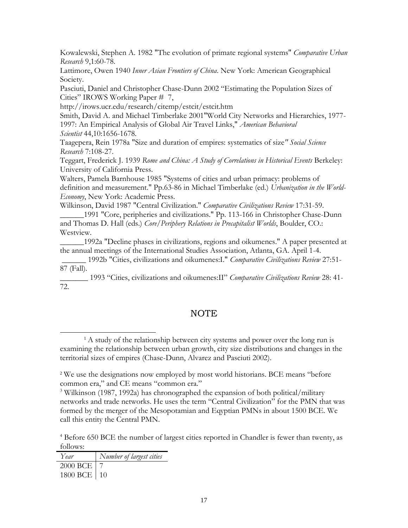Kowalewski, Stephen A. 1982 "The evolution of primate regional systems" *Comparative Urban Research* 9,1:60-78.

Lattimore, Owen 1940 *Inner Asian Frontiers of China*. New York: American Geographical Society.

Pasciuti, Daniel and Christopher Chase-Dunn 2002 "Estimating the Population Sizes of Cities" IROWS Working Paper # 7,

http://irows.ucr.edu/research/citemp/estcit/estcit.htm

Smith, David A. and Michael Timberlake 2001"World City Networks and Hierarchies, 1977- 1997: An Empirical Analysis of Global Air Travel Links," *American Behavioral Scientist* 44,10:1656-1678.

Taagepera, Rein 1978a "Size and duration of empires: systematics of size*" Social Science Research* 7:108-27.

Teggart, Frederick J. 1939 *Rome and China: A Study of Correlations in Historical Events* Berkeley: University of California Press.

Walters, Pamela Barnhouse 1985 "Systems of cities and urban primacy: problems of definition and measurement." Pp.63-86 in Michael Timberlake (ed.) *Urbanization in the World-Economy*, New York: Academic Press.

Wilkinson, David 1987 "Central Civilization." *Comparative Civilizations Review* 17:31-59.

\_\_\_\_\_\_1991 "Core, peripheries and civilizations." Pp. 113-166 in Christopher Chase-Dunn and Thomas D. Hall (eds.) *Core/Periphery Relations in Precapitalist Worlds*, Boulder, CO.: Westview.

\_\_\_\_\_\_1992a "Decline phases in civilizations, regions and oikumenes." A paper presented at the annual meetings of the International Studies Association, Atlanta, GA. April 1-4.

\_\_\_\_\_\_ 1992b "Cities, civilizations and oikumenes:I." *Comparative Civilizations Review* 27:51- 87 (Fall).

\_\_\_\_\_\_\_ 1993 "Cities, civilizations and oikumenes:II" *Comparative Civilizations Review* 28: 41- 72.

# NOTE

<sup>&</sup>lt;sup>4</sup> Before 650 BCE the number of largest cities reported in Chandler is fewer than twenty, as follows:

| Year        | Number of largest cities |
|-------------|--------------------------|
| 2000 BCE 7  |                          |
| 1800 BCE 10 |                          |

<sup>&</sup>lt;sup>1</sup> A study of the relationship between city systems and power over the long run is examining the relationship between urban growth, city size distributions and changes in the territorial sizes of empires (Chase-Dunn, Alvarez and Pasciuti 2002).

<sup>&</sup>lt;sup>2</sup> We use the designations now employed by most world historians. BCE means "before" common era," and CE means "common era."

<sup>3</sup> Wilkinson (1987, 1992a) has chronographed the expansion of both political/military networks and trade networks. He uses the term "Central Civilization" for the PMN that was formed by the merger of the Mesopotamian and Eqyptian PMNs in about 1500 BCE. We call this entity the Central PMN.